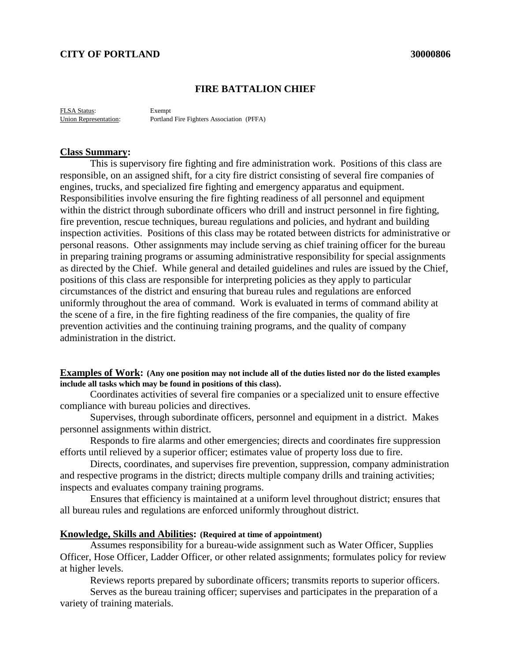## **CITY OF PORTLAND 30000806**

#### **FIRE BATTALION CHIEF**

FLSA Status: Exempt Union Representation: Portland Fire Fighters Association (PFFA)

#### **Class Summary:**

This is supervisory fire fighting and fire administration work. Positions of this class are responsible, on an assigned shift, for a city fire district consisting of several fire companies of engines, trucks, and specialized fire fighting and emergency apparatus and equipment. Responsibilities involve ensuring the fire fighting readiness of all personnel and equipment within the district through subordinate officers who drill and instruct personnel in fire fighting, fire prevention, rescue techniques, bureau regulations and policies, and hydrant and building inspection activities. Positions of this class may be rotated between districts for administrative or personal reasons. Other assignments may include serving as chief training officer for the bureau in preparing training programs or assuming administrative responsibility for special assignments as directed by the Chief. While general and detailed guidelines and rules are issued by the Chief, positions of this class are responsible for interpreting policies as they apply to particular circumstances of the district and ensuring that bureau rules and regulations are enforced uniformly throughout the area of command. Work is evaluated in terms of command ability at the scene of a fire, in the fire fighting readiness of the fire companies, the quality of fire prevention activities and the continuing training programs, and the quality of company administration in the district.

### **Examples of Work: (Any one position may not include all of the duties listed nor do the listed examples include all tasks which may be found in positions of this class).**

Coordinates activities of several fire companies or a specialized unit to ensure effective compliance with bureau policies and directives.

Supervises, through subordinate officers, personnel and equipment in a district. Makes personnel assignments within district.

Responds to fire alarms and other emergencies; directs and coordinates fire suppression efforts until relieved by a superior officer; estimates value of property loss due to fire.

Directs, coordinates, and supervises fire prevention, suppression, company administration and respective programs in the district; directs multiple company drills and training activities; inspects and evaluates company training programs.

Ensures that efficiency is maintained at a uniform level throughout district; ensures that all bureau rules and regulations are enforced uniformly throughout district.

## **Knowledge, Skills and Abilities: (Required at time of appointment)**

Assumes responsibility for a bureau-wide assignment such as Water Officer, Supplies Officer, Hose Officer, Ladder Officer, or other related assignments; formulates policy for review at higher levels.

Reviews reports prepared by subordinate officers; transmits reports to superior officers.

Serves as the bureau training officer; supervises and participates in the preparation of a variety of training materials.